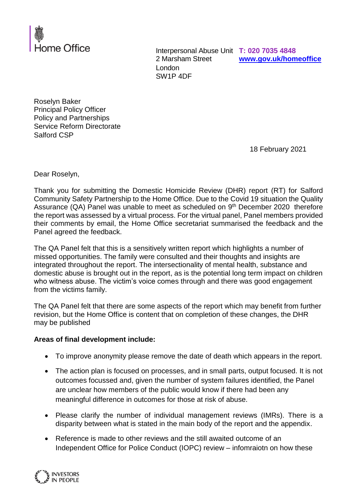

Interpersonal Abuse Unit **T: 020 7035 4848** 2 Marsham Street London SW1P 4DF

**[www.gov.uk/homeoffice](http://www.gov.uk/homeoffice)**

Roselyn Baker Principal Policy Officer Policy and Partnerships Service Reform Directorate Salford CSP

18 February 2021

Dear Roselyn,

Thank you for submitting the Domestic Homicide Review (DHR) report (RT) for Salford Community Safety Partnership to the Home Office. Due to the Covid 19 situation the Quality Assurance (QA) Panel was unable to meet as scheduled on 9<sup>th</sup> December 2020 therefore the report was assessed by a virtual process. For the virtual panel, Panel members provided their comments by email, the Home Office secretariat summarised the feedback and the Panel agreed the feedback.

The QA Panel felt that this is a sensitively written report which highlights a number of missed opportunities. The family were consulted and their thoughts and insights are integrated throughout the report. The intersectionality of mental health, substance and domestic abuse is brought out in the report, as is the potential long term impact on children who witness abuse. The victim's voice comes through and there was good engagement from the victims family.

The QA Panel felt that there are some aspects of the report which may benefit from further revision, but the Home Office is content that on completion of these changes, the DHR may be published

## **Areas of final development include:**

- To improve anonymity please remove the date of death which appears in the report.
- The action plan is focused on processes, and in small parts, output focused. It is not outcomes focussed and, given the number of system failures identified, the Panel are unclear how members of the public would know if there had been any meaningful difference in outcomes for those at risk of abuse.
- Please clarify the number of individual management reviews (IMRs). There is a disparity between what is stated in the main body of the report and the appendix.
- Reference is made to other reviews and the still awaited outcome of an Independent Office for Police Conduct (IOPC) review – infomraiotn on how these